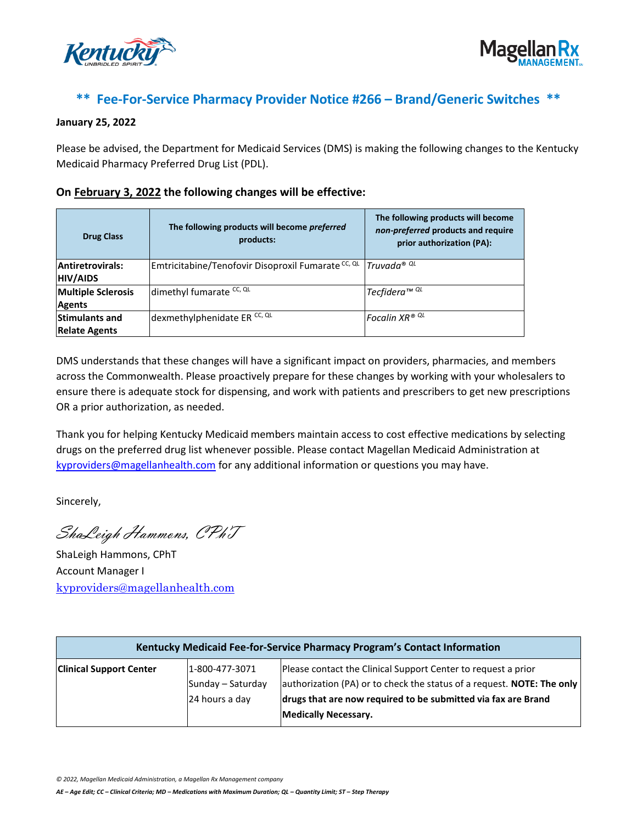



## **\*\* Fee-For-Service Pharmacy Provider Notice #266 – Brand/Generic Switches \*\***

## **January 25, 2022**

Please be advised, the Department for Medicaid Services (DMS) is making the following changes to the Kentucky Medicaid Pharmacy Preferred Drug List (PDL).

## **On February 3, 2022 the following changes will be effective:**

| <b>Drug Class</b>                             | The following products will become preferred<br>products: | The following products will become<br>non-preferred products and require<br>prior authorization (PA): |
|-----------------------------------------------|-----------------------------------------------------------|-------------------------------------------------------------------------------------------------------|
| Antiretrovirals:<br><b>HIV/AIDS</b>           | Emtricitabine/Tenofovir Disoproxil Fumarate CC, QL        | Truvada® QL                                                                                           |
| <b>Multiple Sclerosis</b><br><b>Agents</b>    | dimethyl fumarate CC, QL                                  | I Tecfidera™ <sup>QL</sup>                                                                            |
| <b>Stimulants and</b><br><b>Relate Agents</b> | dexmethylphenidate ER <sup>CC, QL</sup>                   | Focalin XR® QL                                                                                        |

DMS understands that these changes will have a significant impact on providers, pharmacies, and members across the Commonwealth. Please proactively prepare for these changes by working with your wholesalers to ensure there is adequate stock for dispensing, and work with patients and prescribers to get new prescriptions OR a prior authorization, as needed.

Thank you for helping Kentucky Medicaid members maintain access to cost effective medications by selecting drugs on the preferred drug list whenever possible. Please contact Magellan Medicaid Administration at [kyproviders@magellanhealth.com](mailto:kyproviders@magellanhealth.com) for any additional information or questions you may have.

Sincerely,

ShaLeigh Hammons, CPhT

ShaLeigh Hammons, CPhT Account Manager I [kyproviders@magellanhealth.com](mailto:kyproviders@magellanhealth.com)

| Kentucky Medicaid Fee-for-Service Pharmacy Program's Contact Information |                                                       |                                                                                                                                                                                                                                         |  |
|--------------------------------------------------------------------------|-------------------------------------------------------|-----------------------------------------------------------------------------------------------------------------------------------------------------------------------------------------------------------------------------------------|--|
| <b>Clinical Support Center</b>                                           | 1-800-477-3071<br>Sunday – Saturday<br>24 hours a day | Please contact the Clinical Support Center to request a prior<br>authorization (PA) or to check the status of a request. NOTE: The only<br>drugs that are now required to be submitted via fax are Brand<br><b>Medically Necessary.</b> |  |

*© 2022, Magellan Medicaid Administration, a Magellan Rx Management company*

*AE – Age Edit; CC – Clinical Criteria; MD – Medications with Maximum Duration; QL – Quantity Limit; ST – Step Therapy*